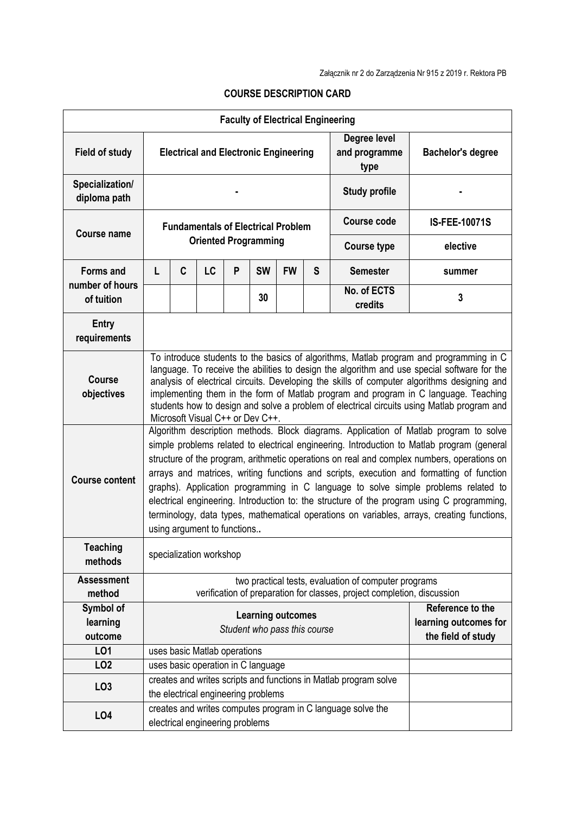|                                            |                                                                                                                                                                                                                                                                                                                                                                                                                                                                                                                                                                                                                                                                                                |   |                                                                                                         |   |                                                                 | <b>Faculty of Electrical Engineering</b> |                          |                                                             |                      |
|--------------------------------------------|------------------------------------------------------------------------------------------------------------------------------------------------------------------------------------------------------------------------------------------------------------------------------------------------------------------------------------------------------------------------------------------------------------------------------------------------------------------------------------------------------------------------------------------------------------------------------------------------------------------------------------------------------------------------------------------------|---|---------------------------------------------------------------------------------------------------------|---|-----------------------------------------------------------------|------------------------------------------|--------------------------|-------------------------------------------------------------|----------------------|
| <b>Field of study</b>                      | Degree level<br>and programme<br><b>Electrical and Electronic Engineering</b><br>type                                                                                                                                                                                                                                                                                                                                                                                                                                                                                                                                                                                                          |   |                                                                                                         |   |                                                                 |                                          | <b>Bachelor's degree</b> |                                                             |                      |
| Specialization/<br>diploma path            |                                                                                                                                                                                                                                                                                                                                                                                                                                                                                                                                                                                                                                                                                                |   |                                                                                                         |   |                                                                 |                                          | <b>Study profile</b>     |                                                             |                      |
| <b>Course name</b>                         | <b>Fundamentals of Electrical Problem</b>                                                                                                                                                                                                                                                                                                                                                                                                                                                                                                                                                                                                                                                      |   |                                                                                                         |   |                                                                 |                                          |                          | Course code                                                 | <b>IS-FEE-10071S</b> |
|                                            |                                                                                                                                                                                                                                                                                                                                                                                                                                                                                                                                                                                                                                                                                                |   | <b>Oriented Programming</b>                                                                             |   |                                                                 |                                          |                          | <b>Course type</b>                                          | elective             |
| Forms and<br>number of hours<br>of tuition | L                                                                                                                                                                                                                                                                                                                                                                                                                                                                                                                                                                                                                                                                                              | C | LC                                                                                                      | P | <b>SW</b>                                                       | <b>FW</b>                                | S                        | <b>Semester</b>                                             | summer               |
|                                            |                                                                                                                                                                                                                                                                                                                                                                                                                                                                                                                                                                                                                                                                                                |   |                                                                                                         |   | 30                                                              |                                          |                          | No. of ECTS<br>credits                                      | 3                    |
| <b>Entry</b><br>requirements               |                                                                                                                                                                                                                                                                                                                                                                                                                                                                                                                                                                                                                                                                                                |   |                                                                                                         |   |                                                                 |                                          |                          |                                                             |                      |
| <b>Course</b><br>objectives                | To introduce students to the basics of algorithms, Matlab program and programming in C<br>language. To receive the abilities to design the algorithm and use special software for the<br>analysis of electrical circuits. Developing the skills of computer algorithms designing and<br>implementing them in the form of Matlab program and program in C language. Teaching<br>students how to design and solve a problem of electrical circuits using Matlab program and<br>Microsoft Visual C++ or Dev C++.                                                                                                                                                                                  |   |                                                                                                         |   |                                                                 |                                          |                          |                                                             |                      |
| <b>Course content</b>                      | Algorithm description methods. Block diagrams. Application of Matlab program to solve<br>simple problems related to electrical engineering. Introduction to Matlab program (general<br>structure of the program, arithmetic operations on real and complex numbers, operations on<br>arrays and matrices, writing functions and scripts, execution and formatting of function<br>graphs). Application programming in C language to solve simple problems related to<br>electrical engineering. Introduction to: the structure of the program using C programming,<br>terminology, data types, mathematical operations on variables, arrays, creating functions,<br>using argument to functions |   |                                                                                                         |   |                                                                 |                                          |                          |                                                             |                      |
| <b>Teaching</b><br>methods                 | specialization workshop                                                                                                                                                                                                                                                                                                                                                                                                                                                                                                                                                                                                                                                                        |   |                                                                                                         |   |                                                                 |                                          |                          |                                                             |                      |
| <b>Assessment</b><br>method                | two practical tests, evaluation of computer programs<br>verification of preparation for classes, project completion, discussion                                                                                                                                                                                                                                                                                                                                                                                                                                                                                                                                                                |   |                                                                                                         |   |                                                                 |                                          |                          |                                                             |                      |
| Symbol of<br>learning<br>outcome           | <b>Learning outcomes</b><br>Student who pass this course                                                                                                                                                                                                                                                                                                                                                                                                                                                                                                                                                                                                                                       |   |                                                                                                         |   | Reference to the<br>learning outcomes for<br>the field of study |                                          |                          |                                                             |                      |
| L01                                        |                                                                                                                                                                                                                                                                                                                                                                                                                                                                                                                                                                                                                                                                                                |   | uses basic Matlab operations                                                                            |   |                                                                 |                                          |                          |                                                             |                      |
| LO <sub>2</sub>                            |                                                                                                                                                                                                                                                                                                                                                                                                                                                                                                                                                                                                                                                                                                |   | uses basic operation in C language                                                                      |   |                                                                 |                                          |                          |                                                             |                      |
| LO <sub>3</sub>                            |                                                                                                                                                                                                                                                                                                                                                                                                                                                                                                                                                                                                                                                                                                |   | creates and writes scripts and functions in Matlab program solve<br>the electrical engineering problems |   |                                                                 |                                          |                          |                                                             |                      |
| <b>LO4</b>                                 |                                                                                                                                                                                                                                                                                                                                                                                                                                                                                                                                                                                                                                                                                                |   | electrical engineering problems                                                                         |   |                                                                 |                                          |                          | creates and writes computes program in C language solve the |                      |

## **COURSE DESCRIPTION CARD**